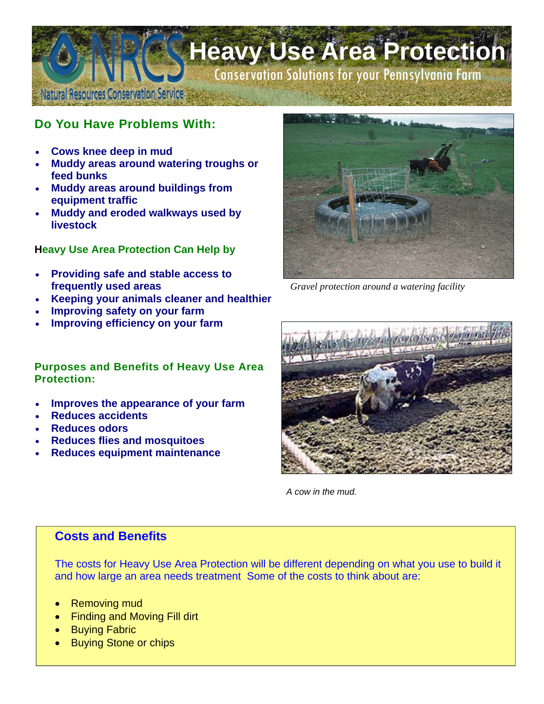

# **Do You Have Problems With:**

- **Cows knee deep in mud**
- **Muddy areas around watering troughs or feed bunks**
- **Muddy areas around buildings from equipment traffic**
- **Muddy and eroded walkways used by livestock**

### **Heavy Use Area Protection Can Help by**

- **Providing safe and stable access to frequently used areas**
- **Keeping your animals cleaner and healthier**
- **Improving safety on your farm**
- **Improving efficiency on your farm**

#### **Purposes and Benefits of Heavy Use Area Protection:**

- **Improves the appearance of your farm**
- **Reduces accidents**
- **Reduces odors**
- **Reduces flies and mosquitoes**
- **Reduces equipment maintenance**



*Gravel protection around a watering facility* 



*A cow in the mud.* 

## **Costs and Benefits**

The costs for Heavy Use Area Protection will be different depending on what you use to build it and how large an area needs treatment Some of the costs to think about are:

- Removing mud
- Finding and Moving Fill dirt
- **Buying Fabric**
- Buying Stone or chips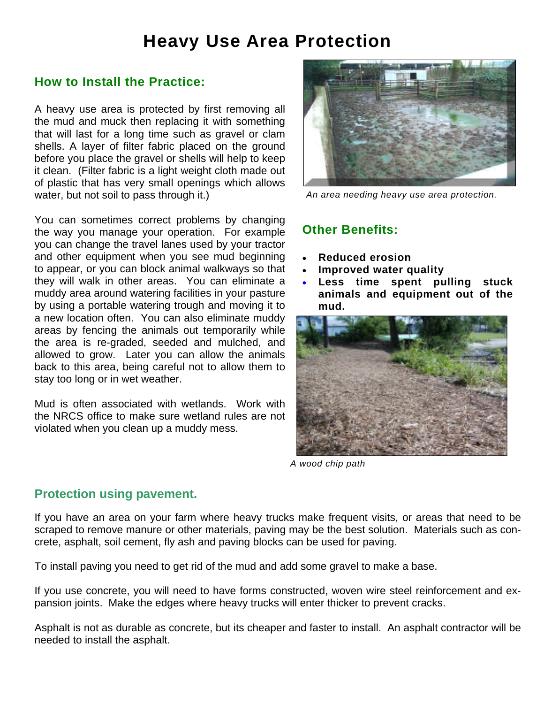# **Heavy Use Area Protection**

## **How to Install the Practice:**

A heavy use area is protected by first removing all the mud and muck then replacing it with something that will last for a long time such as gravel or clam shells. A layer of filter fabric placed on the ground before you place the gravel or shells will help to keep it clean. (Filter fabric is a light weight cloth made out of plastic that has very small openings which allows water, but not soil to pass through it.)

You can sometimes correct problems by changing the way you manage your operation. For example you can change the travel lanes used by your tractor and other equipment when you see mud beginning to appear, or you can block animal walkways so that they will walk in other areas. You can eliminate a muddy area around watering facilities in your pasture by using a portable watering trough and moving it to a new location often. You can also eliminate muddy areas by fencing the animals out temporarily while the area is re-graded, seeded and mulched, and allowed to grow. Later you can allow the animals back to this area, being careful not to allow them to stay too long or in wet weather.

Mud is often associated with wetlands. Work with the NRCS office to make sure wetland rules are not violated when you clean up a muddy mess.



*An area needing heavy use area protection.*

# **Other Benefits:**

- **Reduced erosion**
- **Improved water quality**
- Less time spent pulling stuck **animals and equipment out of the mud.**



*A wood chip path*

#### **Protection using pavement.**

If you have an area on your farm where heavy trucks make frequent visits, or areas that need to be scraped to remove manure or other materials, paving may be the best solution. Materials such as concrete, asphalt, soil cement, fly ash and paving blocks can be used for paving.

To install paving you need to get rid of the mud and add some gravel to make a base.

If you use concrete, you will need to have forms constructed, woven wire steel reinforcement and expansion joints. Make the edges where heavy trucks will enter thicker to prevent cracks.

Asphalt is not as durable as concrete, but its cheaper and faster to install. An asphalt contractor will be needed to install the asphalt.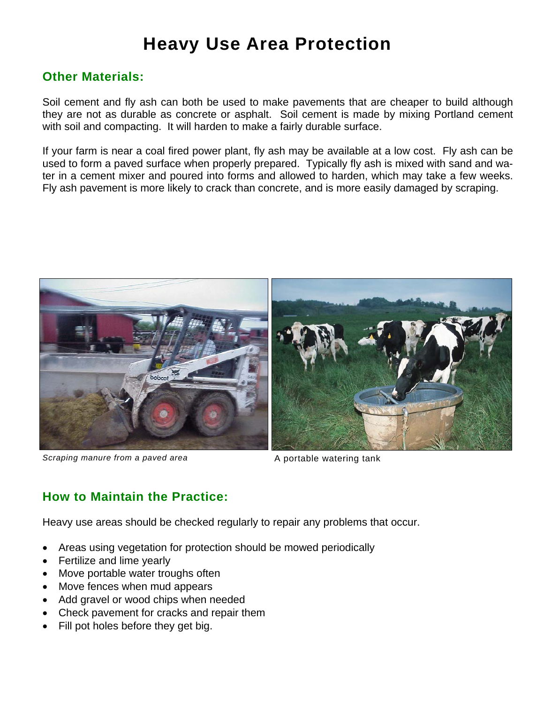# **Heavy Use Area Protection**

# **Other Materials:**

Soil cement and fly ash can both be used to make pavements that are cheaper to build although they are not as durable as concrete or asphalt. Soil cement is made by mixing Portland cement with soil and compacting. It will harden to make a fairly durable surface.

If your farm is near a coal fired power plant, fly ash may be available at a low cost. Fly ash can be used to form a paved surface when properly prepared. Typically fly ash is mixed with sand and water in a cement mixer and poured into forms and allowed to harden, which may take a few weeks. Fly ash pavement is more likely to crack than concrete, and is more easily damaged by scraping.



**Scraping manure from a paved area** A portable watering tank

# **How to Maintain the Practice:**

Heavy use areas should be checked regularly to repair any problems that occur.

- Areas using vegetation for protection should be mowed periodically
- Fertilize and lime yearly
- Move portable water troughs often
- Move fences when mud appears
- Add gravel or wood chips when needed
- Check pavement for cracks and repair them
- Fill pot holes before they get big.